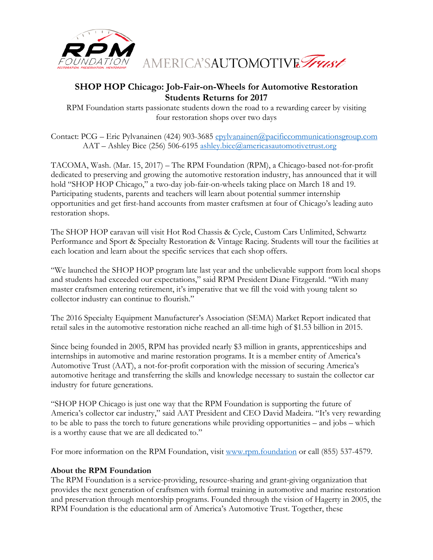

AMERICA'SAUTOMOTIVE Trust

## **SHOP HOP Chicago: Job-Fair-on-Wheels for Automotive Restoration Students Returns for 2017**

RPM Foundation starts passionate students down the road to a rewarding career by visiting four restoration shops over two days

Contact: PCG – Eric Pylvanainen (424) 903-3685 [epylvanainen@pacificcommunicationsgroup.com](mailto:epylvanainen@pacificcommunicationsgroup.com) AAT – Ashley Bice (256) 506-6195 [ashley.bice@americasautomotivetrust.org](mailto:ashley.bice@americasautomotivetrust.org)

TACOMA, Wash. (Mar. 15, 2017) – The RPM Foundation (RPM), a Chicago-based not-for-profit dedicated to preserving and growing the automotive restoration industry, has announced that it will hold "SHOP HOP Chicago," a two-day job-fair-on-wheels taking place on March 18 and 19. Participating students, parents and teachers will learn about potential summer internship opportunities and get first-hand accounts from master craftsmen at four of Chicago's leading auto restoration shops.

The SHOP HOP caravan will visit Hot Rod Chassis & Cycle, Custom Cars Unlimited, Schwartz Performance and Sport & Specialty Restoration & Vintage Racing. Students will tour the facilities at each location and learn about the specific services that each shop offers.

"We launched the SHOP HOP program late last year and the unbelievable support from local shops and students had exceeded our expectations," said RPM President Diane Fitzgerald. "With many master craftsmen entering retirement, it's imperative that we fill the void with young talent so collector industry can continue to flourish."

The 2016 Specialty Equipment Manufacturer's Association (SEMA) Market Report indicated that retail sales in the automotive restoration niche reached an all-time high of \$1.53 billion in 2015.

Since being founded in 2005, RPM has provided nearly \$3 million in grants, apprenticeships and internships in automotive and marine restoration programs. It is a member entity of America's Automotive Trust (AAT), a not-for-profit corporation with the mission of securing America's automotive heritage and transferring the skills and knowledge necessary to sustain the collector car industry for future generations.

"SHOP HOP Chicago is just one way that the RPM Foundation is supporting the future of America's collector car industry," said AAT President and CEO David Madeira. "It's very rewarding to be able to pass the torch to future generations while providing opportunities – and jobs – which is a worthy cause that we are all dedicated to."

For more information on the RPM Foundation, visit [www.rpm.foundation](http://rpm.foundation/) or call (855) 537-4579.

## **About the RPM Foundation**

The RPM Foundation is a service-providing, resource-sharing and grant-giving organization that provides the next generation of craftsmen with formal training in automotive and marine restoration and preservation through mentorship programs. Founded through the vision of Hagerty in 2005, the RPM Foundation is the educational arm of America's Automotive Trust. Together, these